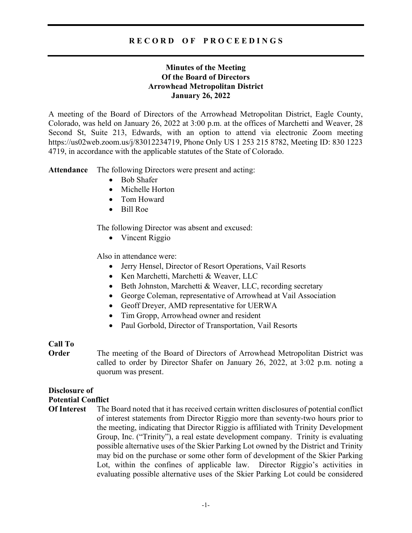# R E C O R D O F P R O C E E D I N G S

# Minutes of the Meeting Of the Board of Directors Arrowhead Metropolitan District January 26, 2022

A meeting of the Board of Directors of the Arrowhead Metropolitan District, Eagle County, Colorado, was held on January 26, 2022 at 3:00 p.m. at the offices of Marchetti and Weaver, 28 Second St, Suite 213, Edwards, with an option to attend via electronic Zoom meeting https://us02web.zoom.us/j/83012234719, Phone Only US 1 253 215 8782, Meeting ID: 830 1223 4719, in accordance with the applicable statutes of the State of Colorado.

Attendance The following Directors were present and acting:

- Bob Shafer
- Michelle Horton
- Tom Howard
- Bill Roe

The following Director was absent and excused:

• Vincent Riggio

Also in attendance were:

- Jerry Hensel, Director of Resort Operations, Vail Resorts
- Ken Marchetti, Marchetti & Weaver, LLC
- Beth Johnston, Marchetti & Weaver, LLC, recording secretary
- George Coleman, representative of Arrowhead at Vail Association
- Geoff Dreyer, AMD representative for UERWA
- Tim Gropp, Arrowhead owner and resident
- Paul Gorbold, Director of Transportation, Vail Resorts

# Call To

**Order** The meeting of the Board of Directors of Arrowhead Metropolitan District was called to order by Director Shafer on January 26, 2022, at 3:02 p.m. noting a quorum was present.

# Disclosure of

### Potential Conflict

Of Interest The Board noted that it has received certain written disclosures of potential conflict of interest statements from Director Riggio more than seventy-two hours prior to the meeting, indicating that Director Riggio is affiliated with Trinity Development Group, Inc. ("Trinity"), a real estate development company. Trinity is evaluating possible alternative uses of the Skier Parking Lot owned by the District and Trinity may bid on the purchase or some other form of development of the Skier Parking Lot, within the confines of applicable law. Director Riggio's activities in evaluating possible alternative uses of the Skier Parking Lot could be considered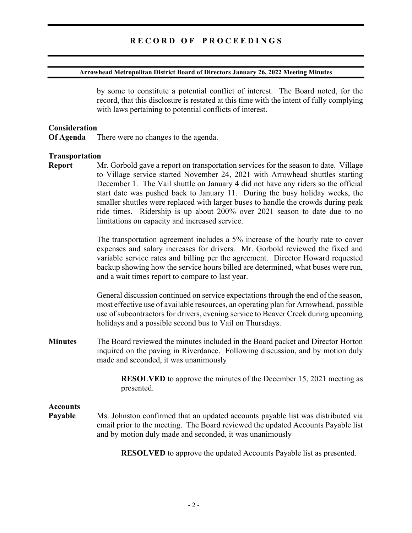### Arrowhead Metropolitan District Board of Directors January 26, 2022 Meeting Minutes

by some to constitute a potential conflict of interest. The Board noted, for the record, that this disclosure is restated at this time with the intent of fully complying with laws pertaining to potential conflicts of interest.

### Consideration

Of Agenda There were no changes to the agenda.

### Transportation

Report Mr. Gorbold gave a report on transportation services for the season to date. Village to Village service started November 24, 2021 with Arrowhead shuttles starting December 1. The Vail shuttle on January 4 did not have any riders so the official start date was pushed back to January 11. During the busy holiday weeks, the smaller shuttles were replaced with larger buses to handle the crowds during peak ride times. Ridership is up about 200% over 2021 season to date due to no limitations on capacity and increased service.

> The transportation agreement includes a 5% increase of the hourly rate to cover expenses and salary increases for drivers. Mr. Gorbold reviewed the fixed and variable service rates and billing per the agreement. Director Howard requested backup showing how the service hours billed are determined, what buses were run, and a wait times report to compare to last year.

> General discussion continued on service expectations through the end of the season, most effective use of available resources, an operating plan for Arrowhead, possible use of subcontractors for drivers, evening service to Beaver Creek during upcoming holidays and a possible second bus to Vail on Thursdays.

Minutes The Board reviewed the minutes included in the Board packet and Director Horton inquired on the paving in Riverdance. Following discussion, and by motion duly made and seconded, it was unanimously

> RESOLVED to approve the minutes of the December 15, 2021 meeting as presented.

# **Accounts**

Payable Ms. Johnston confirmed that an updated accounts payable list was distributed via email prior to the meeting. The Board reviewed the updated Accounts Payable list and by motion duly made and seconded, it was unanimously

RESOLVED to approve the updated Accounts Payable list as presented.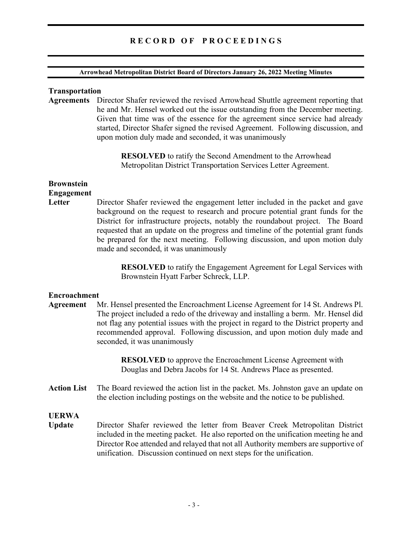# RECORD OF PROCEEDINGS

### Arrowhead Metropolitan District Board of Directors January 26, 2022 Meeting Minutes

### Transportation

Agreements Director Shafer reviewed the revised Arrowhead Shuttle agreement reporting that he and Mr. Hensel worked out the issue outstanding from the December meeting. Given that time was of the essence for the agreement since service had already started, Director Shafer signed the revised Agreement. Following discussion, and upon motion duly made and seconded, it was unanimously

> RESOLVED to ratify the Second Amendment to the Arrowhead Metropolitan District Transportation Services Letter Agreement.

### Brownstein Engagement

Letter Director Shafer reviewed the engagement letter included in the packet and gave background on the request to research and procure potential grant funds for the District for infrastructure projects, notably the roundabout project. The Board requested that an update on the progress and timeline of the potential grant funds be prepared for the next meeting. Following discussion, and upon motion duly made and seconded, it was unanimously

> RESOLVED to ratify the Engagement Agreement for Legal Services with Brownstein Hyatt Farber Schreck, LLP.

### Encroachment

Agreement Mr. Hensel presented the Encroachment License Agreement for 14 St. Andrews Pl. The project included a redo of the driveway and installing a berm. Mr. Hensel did not flag any potential issues with the project in regard to the District property and recommended approval. Following discussion, and upon motion duly made and seconded, it was unanimously

> RESOLVED to approve the Encroachment License Agreement with Douglas and Debra Jacobs for 14 St. Andrews Place as presented.

Action List The Board reviewed the action list in the packet. Ms. Johnston gave an update on the election including postings on the website and the notice to be published.

## UERWA

Update Director Shafer reviewed the letter from Beaver Creek Metropolitan District included in the meeting packet. He also reported on the unification meeting he and Director Roe attended and relayed that not all Authority members are supportive of unification. Discussion continued on next steps for the unification.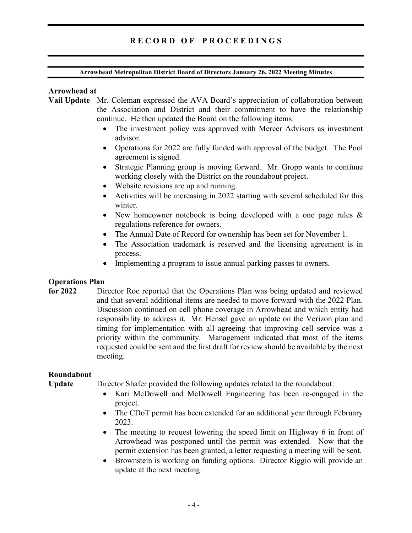# RECORD OF PROCEEDINGS

### Arrowhead Metropolitan District Board of Directors January 26, 2022 Meeting Minutes

### Arrowhead at

- Vail Update Mr. Coleman expressed the AVA Board's appreciation of collaboration between the Association and District and their commitment to have the relationship continue. He then updated the Board on the following items:
	- The investment policy was approved with Mercer Advisors as investment advisor.
	- Operations for 2022 are fully funded with approval of the budget. The Pool agreement is signed.
	- Strategic Planning group is moving forward. Mr. Gropp wants to continue working closely with the District on the roundabout project.
	- Website revisions are up and running.
	- Activities will be increasing in 2022 starting with several scheduled for this winter.
	- New homeowner notebook is being developed with a one page rules  $\&$ regulations reference for owners.
	- The Annual Date of Record for ownership has been set for November 1.
	- The Association trademark is reserved and the licensing agreement is in process.
	- Implementing a program to issue annual parking passes to owners.

### Operations Plan

for 2022 Director Roe reported that the Operations Plan was being updated and reviewed and that several additional items are needed to move forward with the 2022 Plan. Discussion continued on cell phone coverage in Arrowhead and which entity had responsibility to address it. Mr. Hensel gave an update on the Verizon plan and timing for implementation with all agreeing that improving cell service was a priority within the community. Management indicated that most of the items requested could be sent and the first draft for review should be available by the next meeting.

### Roundabout

Update Director Shafer provided the following updates related to the roundabout:

- Kari McDowell and McDowell Engineering has been re-engaged in the project.
- The CDoT permit has been extended for an additional year through February 2023.
- The meeting to request lowering the speed limit on Highway 6 in front of Arrowhead was postponed until the permit was extended. Now that the permit extension has been granted, a letter requesting a meeting will be sent.
- Brownstein is working on funding options. Director Riggio will provide an update at the next meeting.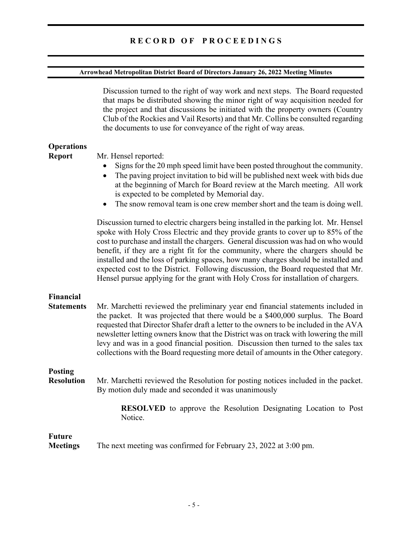# Arrowhead Metropolitan District Board of Directors January 26, 2022 Meeting Minutes

|                                       | Discussion turned to the right of way work and next steps. The Board requested<br>that maps be distributed showing the minor right of way acquisition needed for<br>the project and that discussions be initiated with the property owners (Country<br>Club of the Rockies and Vail Resorts) and that Mr. Collins be consulted regarding<br>the documents to use for conveyance of the right of way areas.                                                                                                                                                                                                           |
|---------------------------------------|----------------------------------------------------------------------------------------------------------------------------------------------------------------------------------------------------------------------------------------------------------------------------------------------------------------------------------------------------------------------------------------------------------------------------------------------------------------------------------------------------------------------------------------------------------------------------------------------------------------------|
| <b>Operations</b><br><b>Report</b>    | Mr. Hensel reported:<br>Signs for the 20 mph speed limit have been posted throughout the community.<br>The paving project invitation to bid will be published next week with bids due<br>$\bullet$<br>at the beginning of March for Board review at the March meeting. All work<br>is expected to be completed by Memorial day.<br>The snow removal team is one crew member short and the team is doing well.<br>$\bullet$                                                                                                                                                                                           |
|                                       | Discussion turned to electric chargers being installed in the parking lot. Mr. Hensel<br>spoke with Holy Cross Electric and they provide grants to cover up to 85% of the<br>cost to purchase and install the chargers. General discussion was had on who would<br>benefit, if they are a right fit for the community, where the chargers should be<br>installed and the loss of parking spaces, how many charges should be installed and<br>expected cost to the District. Following discussion, the Board requested that Mr.<br>Hensel pursue applying for the grant with Holy Cross for installation of chargers. |
| <b>Financial</b><br><b>Statements</b> | Mr. Marchetti reviewed the preliminary year end financial statements included in<br>the packet. It was projected that there would be a \$400,000 surplus. The Board<br>requested that Director Shafer draft a letter to the owners to be included in the AVA<br>newsletter letting owners know that the District was on track with lowering the mill<br>levy and was in a good financial position. Discussion then turned to the sales tax<br>collections with the Board requesting more detail of amounts in the Other category.                                                                                    |
| <b>Posting</b><br><b>Resolution</b>   | Mr. Marchetti reviewed the Resolution for posting notices included in the packet.<br>By motion duly made and seconded it was unanimously                                                                                                                                                                                                                                                                                                                                                                                                                                                                             |
|                                       | RESOLVED to approve the Resolution Designating Location to Post<br>Notice.                                                                                                                                                                                                                                                                                                                                                                                                                                                                                                                                           |
| <b>Future</b>                         | Mostings The next meeting was confirmed for Echrician $22,002$ at $2.00$ nm                                                                                                                                                                                                                                                                                                                                                                                                                                                                                                                                          |